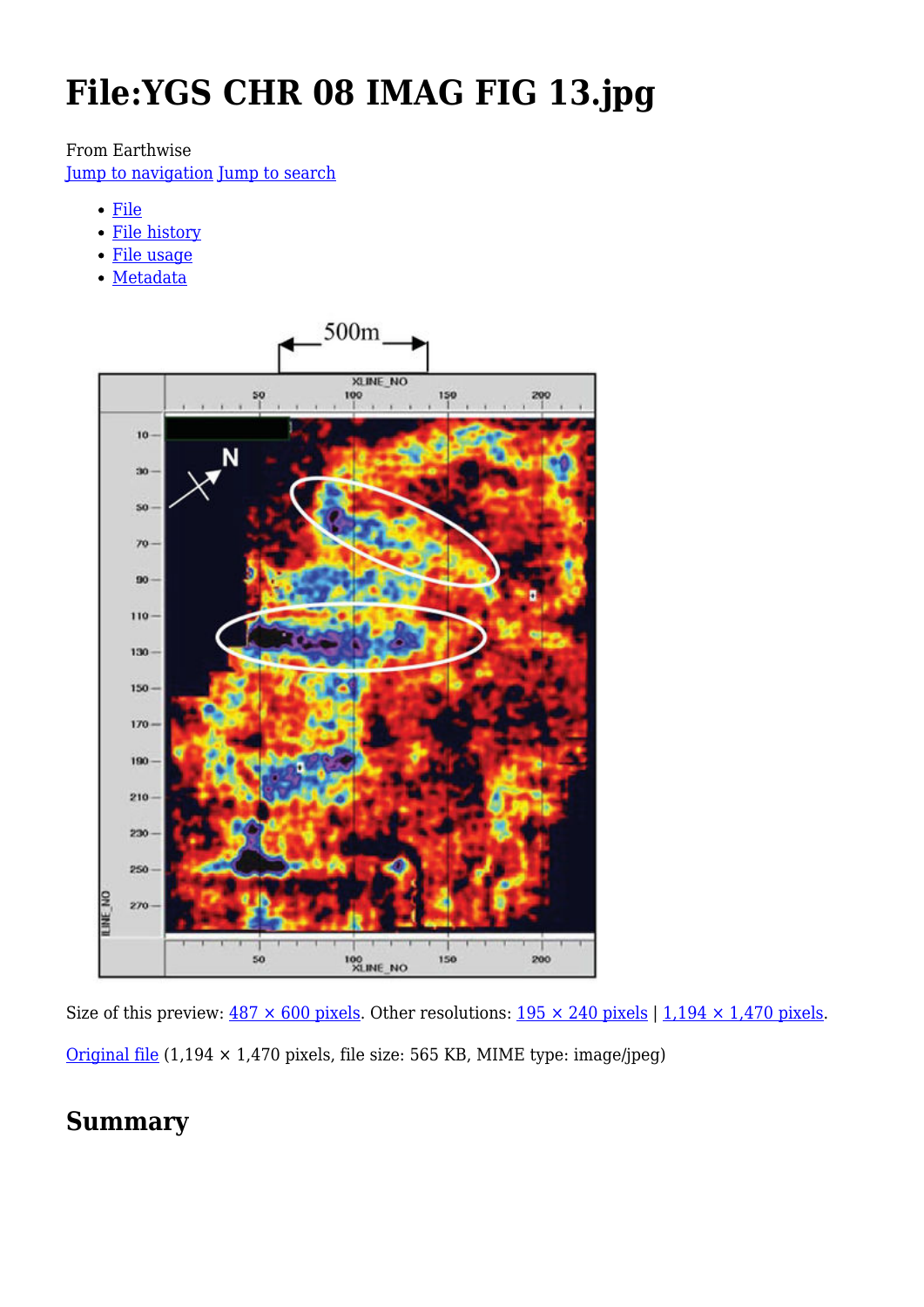# **File:YGS CHR 08 IMAG FIG 13.jpg**

#### From Earthwise

[Jump to navigation](#page--1-0) [Jump to search](#page--1-0)

- [File](#page--1-0)
- [File history](#page--1-0)
- [File usage](#page--1-0)
- [Metadata](#page--1-0)



Size of this preview:  $487 \times 600$  pixels. Other resolutions:  $195 \times 240$  pixels | 1,194  $\times$  1,470 pixels. [Original file](http://earthwise.bgs.ac.uk/images/8/81/YGS_CHR_08_IMAG_FIG_13.jpg) (1,194 × 1,470 pixels, file size: 565 KB, MIME type: image/jpeg)

## **Summary**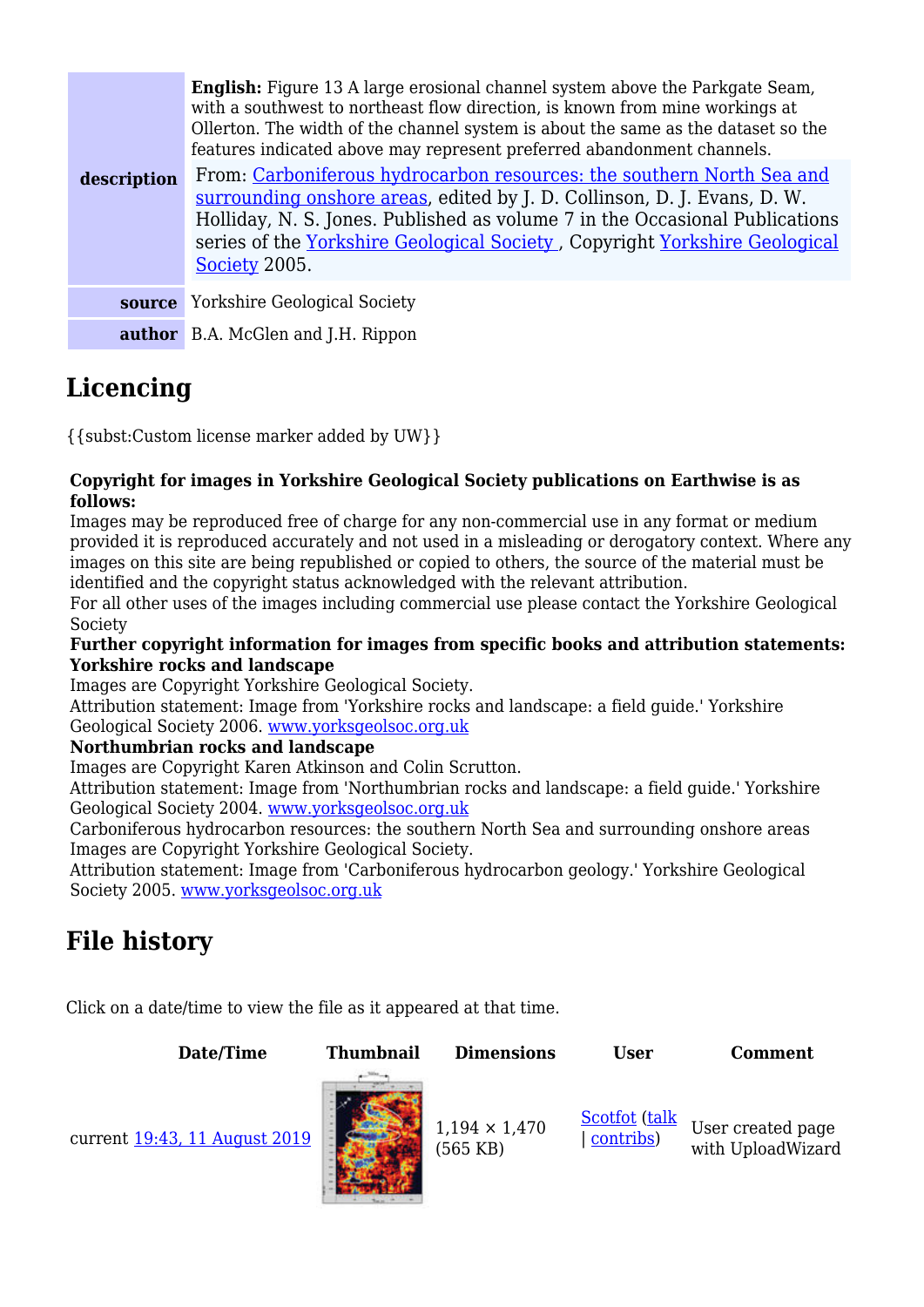|             | <b>English:</b> Figure 13 A large erosional channel system above the Parkgate Seam,<br>with a southwest to northeast flow direction, is known from mine workings at<br>Ollerton. The width of the channel system is about the same as the dataset so the<br>features indicated above may represent preferred abandonment channels. |
|-------------|------------------------------------------------------------------------------------------------------------------------------------------------------------------------------------------------------------------------------------------------------------------------------------------------------------------------------------|
| description | From: Carboniferous hydrocarbon resources: the southern North Sea and<br>surrounding onshore areas, edited by J. D. Collinson, D. J. Evans, D. W.<br>Holliday, N. S. Jones. Published as volume 7 in the Occasional Publications<br>series of the Yorkshire Geological Society, Copyright Yorkshire Geological<br>Society 2005.    |
| source      | <b>Yorkshire Geological Society</b>                                                                                                                                                                                                                                                                                                |
|             | <b>author</b> B.A. McGlen and J.H. Rippon                                                                                                                                                                                                                                                                                          |

# **Licencing**

{{subst:Custom license marker added by UW}}

#### **Copyright for images in Yorkshire Geological Society publications on Earthwise is as follows:**

Images may be reproduced free of charge for any non-commercial use in any format or medium provided it is reproduced accurately and not used in a misleading or derogatory context. Where any images on this site are being republished or copied to others, the source of the material must be identified and the copyright status acknowledged with the relevant attribution.

For all other uses of the images including commercial use please contact the Yorkshire Geological Society

#### **Further copyright information for images from specific books and attribution statements: Yorkshire rocks and landscape**

Images are Copyright Yorkshire Geological Society.

Attribution statement: Image from 'Yorkshire rocks and landscape: a field guide.' Yorkshire Geological Society 2006. [www.yorksgeolsoc.org.uk](http://www.yorksgeolsoc.org.uk)

#### **Northumbrian rocks and landscape**

Images are Copyright Karen Atkinson and Colin Scrutton.

Attribution statement: Image from 'Northumbrian rocks and landscape: a field guide.' Yorkshire Geological Society 2004. [www.yorksgeolsoc.org.uk](http://www.yorksgeolsoc.org.uk)

Carboniferous hydrocarbon resources: the southern North Sea and surrounding onshore areas Images are Copyright Yorkshire Geological Society.

Attribution statement: Image from 'Carboniferous hydrocarbon geology.' Yorkshire Geological Society 2005. [www.yorksgeolsoc.org.uk](http://www.yorksgeolsoc.org.uk)

# **File history**

Click on a date/time to view the file as it appeared at that time.



current [19:43, 11 August 2019](http://earthwise.bgs.ac.uk/images/8/81/YGS_CHR_08_IMAG_FIG_13.jpg)



(565 KB)

[Scotfot](http://earthwise.bgs.ac.uk/index.php/User:Scotfot) [\(talk](http://earthwise.bgs.ac.uk/index.php/User_talk:Scotfot) | [contribs](http://earthwise.bgs.ac.uk/index.php/Special:Contributions/Scotfot))

User created page with UploadWizard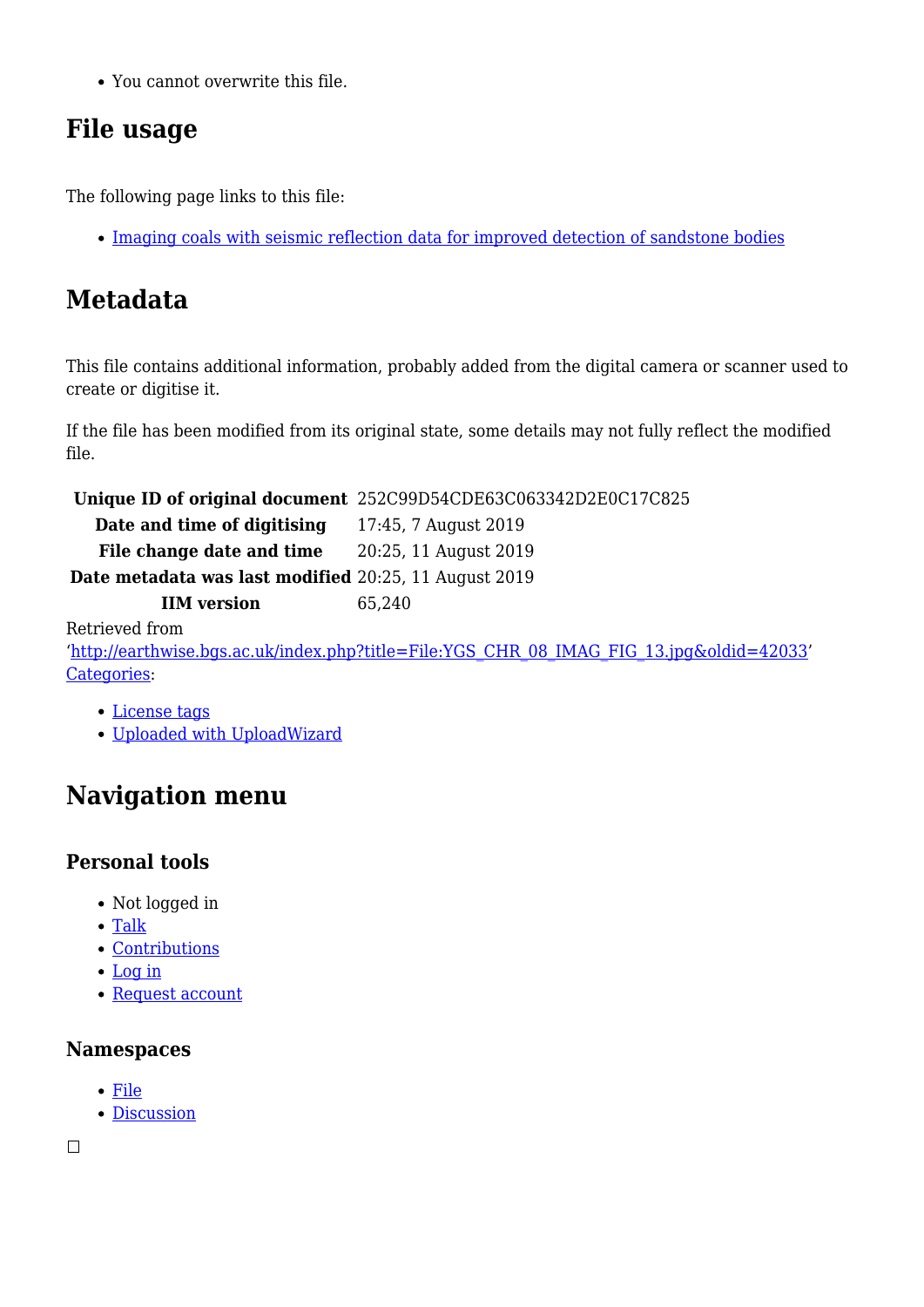You cannot overwrite this file.

# **File usage**

The following page links to this file:

• [Imaging coals with seismic reflection data for improved detection of sandstone bodies](http://earthwise.bgs.ac.uk/index.php/Imaging_coals_with_seismic_reflection_data_for_improved_detection_of_sandstone_bodies)

# **Metadata**

This file contains additional information, probably added from the digital camera or scanner used to create or digitise it.

If the file has been modified from its original state, some details may not fully reflect the modified file.

**Unique ID of original document** 252C99D54CDE63C063342D2E0C17C825

**Date and time of digitising** 17:45, 7 August 2019 File change date and time 20:25, 11 August 2019

**Date metadata was last modified** 20:25, 11 August 2019

**IIM version** 65,240

Retrieved from

'[http://earthwise.bgs.ac.uk/index.php?title=File:YGS\\_CHR\\_08\\_IMAG\\_FIG\\_13.jpg&oldid=42033'](http://earthwise.bgs.ac.uk/index.php?title=File:YGS_CHR_08_IMAG_FIG_13.jpg&oldid=42033) [Categories:](http://earthwise.bgs.ac.uk/index.php/Special:Categories)

#### [License tags](http://earthwise.bgs.ac.uk/index.php/Category:License_tags)

[Uploaded with UploadWizard](http://earthwise.bgs.ac.uk/index.php/Category:Uploaded_with_UploadWizard)

# **Navigation menu**

### **Personal tools**

- Not logged in
- [Talk](http://earthwise.bgs.ac.uk/index.php/Special:MyTalk)
- [Contributions](http://earthwise.bgs.ac.uk/index.php/Special:MyContributions)
- [Log in](http://earthwise.bgs.ac.uk/index.php?title=Special:UserLogin&returnto=File%3AYGS+CHR+08+IMAG+FIG+13.jpg&returntoquery=action%3Dmpdf)
- [Request account](http://earthwise.bgs.ac.uk/index.php/Special:RequestAccount)

### **Namespaces**

- [File](http://earthwise.bgs.ac.uk/index.php/File:YGS_CHR_08_IMAG_FIG_13.jpg)
- [Discussion](http://earthwise.bgs.ac.uk/index.php?title=File_talk:YGS_CHR_08_IMAG_FIG_13.jpg&action=edit&redlink=1)

 $\Box$